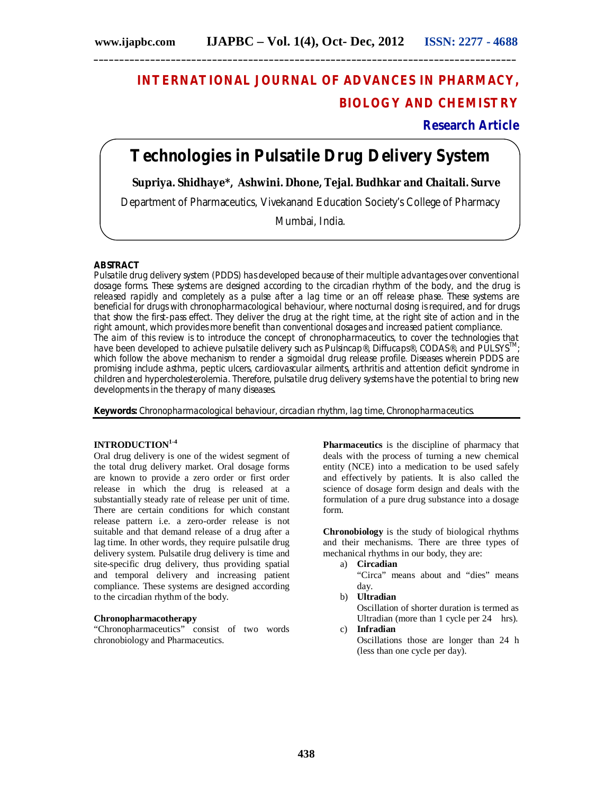# **INTERNATIONAL JOURNAL OF ADVANCES IN PHARMACY, BIOLOGY AND CHEMISTRY**

**Research Article**

## **Technologies in Pulsatile Drug Delivery System**

**\_\_\_\_\_\_\_\_\_\_\_\_\_\_\_\_\_\_\_\_\_\_\_\_\_\_\_\_\_\_\_\_\_\_\_\_\_\_\_\_\_\_\_\_\_\_\_\_\_\_\_\_\_\_\_\_\_\_\_\_\_\_\_\_\_\_\_\_\_\_\_\_\_\_\_\_\_\_\_\_\_\_**

 **Supriya. Shidhaye\*, Ashwini. Dhone, Tejal. Budhkar and Chaitali. Surve**

Department of Pharmaceutics, Vivekanand Education Society's College of Pharmacy

Mumbai, India.

#### **ABSTRACT**

Pulsatile drug delivery system (PDDS) has developed because of their multiple advantages over conventional dosage forms. These systems are designed according to the circadian rhythm of the body, and the drug is released rapidly and completely as a pulse after a lag time or an off release phase. These systems are beneficial for drugs with chronopharmacological behaviour, where nocturnal dosing is required, and for drugs that show the first-pass effect. They deliver the drug at the right time, at the right site of action and in the right amount, which provides more benefit than conventional dosages and increased patient compliance. The aim of this review is to introduce the concept of chronopharmaceutics, to cover the technologies that have been developed to achieve pulsatile delivery such as Pulsincap®, Diffucaps®, CODAS®, and PULSYS<sup>TM</sup>; which follow the above mechanism to render a sigmoidal drug release profile. Diseases wherein PDDS are promising include asthma, peptic ulcers, cardiovascular ailments, arthritis and attention deficit syndrome in children and hypercholesterolemia. Therefore, pulsatile drug delivery systems have the potential to bring new developments in the therapy of many diseases.

**Keywords:** Chronopharmacological behaviour, circadian rhythm, lag time, Chronopharmaceutics.

#### **INTRODUCTION1-4**

Oral drug delivery is one of the widest segment of the total drug delivery market. Oral dosage forms are known to provide a zero order or first order release in which the drug is released at a substantially steady rate of release per unit of time. There are certain conditions for which constant release pattern i.e. a zero-order release is not suitable and that demand release of a drug after a lag time. In other words, they require pulsatile drug delivery system. Pulsatile drug delivery is time and site-specific drug delivery, thus providing spatial and temporal delivery and increasing patient compliance. These systems are designed according to the circadian rhythm of the body.

#### **Chronopharmacotherapy**

"Chronopharmaceutics" consist of two words chronobiology and Pharmaceutics.

**Pharmaceutics** is the discipline of pharmacy that deals with the process of turning a new chemical entity (NCE) into a medication to be used safely and effectively by patients. It is also called the science of dosage form design and deals with the formulation of a pure drug substance into a dosage form.

**Chronobiology** is the study of biological rhythms and their mechanisms. There are three types of mechanical rhythms in our body, they are:

a) **Circadian**

"Circa" means about and "dies" means day.

b) **Ultradian** Oscillation of shorter duration is termed as

Ultradian (more than 1 cycle per 24 hrs). c) **Infradian**

Oscillations those are longer than 24 h (less than one cycle per day).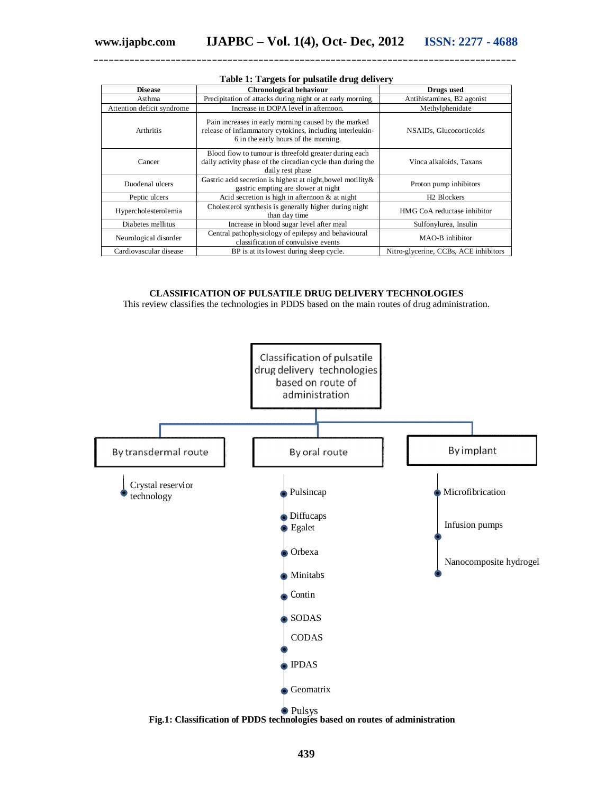| <b>Disease</b>             | Chronological behaviour                                                                                                                                   | Drugs used                            |  |
|----------------------------|-----------------------------------------------------------------------------------------------------------------------------------------------------------|---------------------------------------|--|
| Asthma                     | Precipitation of attacks during night or at early morning                                                                                                 | Antihistamines, B2 agonist            |  |
| Attention deficit syndrome | Increase in DOPA level in afternoon.                                                                                                                      | Methylphenidate                       |  |
| <b>Arthritis</b>           | Pain increases in early morning caused by the marked<br>release of inflammatory cytokines, including interleukin-<br>6 in the early hours of the morning. | NSAID <sub>s</sub> , Glucocorticoids  |  |
| Cancer                     | Blood flow to tumour is threefold greater during each<br>daily activity phase of the circadian cycle than during the<br>daily rest phase                  | Vinca alkaloids, Taxans               |  |
| Duodenal ulcers            | Gastric acid secretion is highest at night, bowel motility &<br>gastric empting are slower at night                                                       | Proton pump inhibitors                |  |
| Peptic ulcers              | Acid secretion is high in afternoon $\&$ at night                                                                                                         | H <sub>2</sub> Blockers               |  |
| Hypercholesterolemia       | Cholesterol synthesis is generally higher during night<br>than day time                                                                                   | HMG CoA reductase inhibitor           |  |
| Diabetes mellitus          | Increase in blood sugar level after meal                                                                                                                  | Sulfonylurea, Insulin                 |  |
| Neurological disorder      | Central pathophysiology of epilepsy and behavioural<br>classification of convulsive events                                                                | MAO-B inhibitor                       |  |
| Cardiovascular disease     | BP is at its lowest during sleep cycle.                                                                                                                   | Nitro-glycerine, CCBs, ACE inhibitors |  |

#### **Table 1: Targets for pulsatile drug delivery**

**\_\_\_\_\_\_\_\_\_\_\_\_\_\_\_\_\_\_\_\_\_\_\_\_\_\_\_\_\_\_\_\_\_\_\_\_\_\_\_\_\_\_\_\_\_\_\_\_\_\_\_\_\_\_\_\_\_\_\_\_\_\_\_\_\_\_\_\_\_\_\_\_\_\_\_\_\_\_\_\_\_\_**

#### **CLASSIFICATION OF PULSATILE DRUG DELIVERY TECHNOLOGIES**

This review classifies the technologies in PDDS based on the main routes of drug administration.

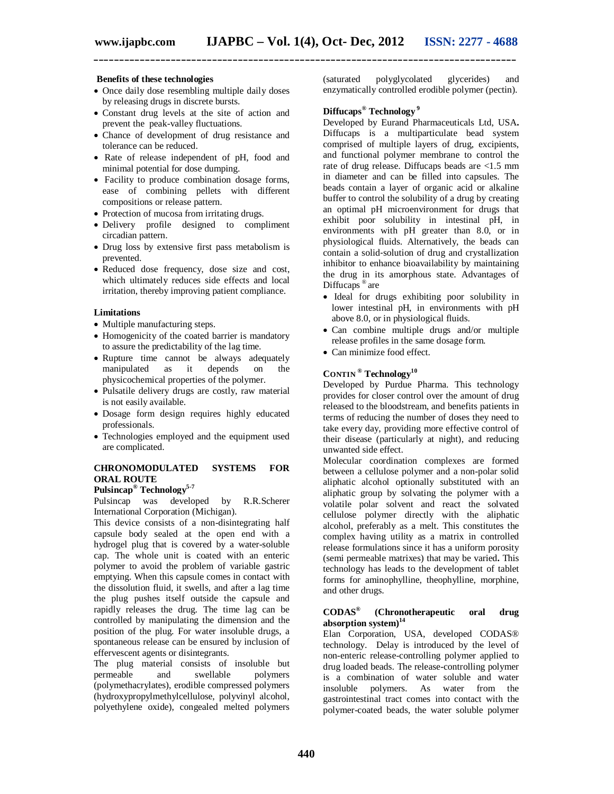#### **Benefits of these technologies**

- Once daily dose resembling multiple daily doses by releasing drugs in discrete bursts.
- Constant drug levels at the site of action and prevent the peak-valley fluctuations.
- Chance of development of drug resistance and tolerance can be reduced.
- Rate of release independent of pH, food and minimal potential for dose dumping.
- Facility to produce combination dosage forms, ease of combining pellets with different compositions or release pattern.
- Protection of mucosa from irritating drugs.
- Delivery profile designed to compliment circadian pattern.
- Drug loss by extensive first pass metabolism is prevented.
- Reduced dose frequency, dose size and cost, which ultimately reduces side effects and local irritation, thereby improving patient compliance.

#### **Limitations**

- Multiple manufacturing steps.
- Homogenicity of the coated barrier is mandatory to assure the predictability of the lag time.
- Rupture time cannot be always adequately manipulated as it depends on the manipulated as it depends on the physicochemical properties of the polymer.
- Pulsatile delivery drugs are costly, raw material is not easily available.
- Dosage form design requires highly educated professionals.
- Technologies employed and the equipment used are complicated.

#### **CHRONOMODULATED SYSTEMS FOR ORAL ROUTE**

## **Pulsincap® Technology5-7**

Pulsincap was developed by R.R.Scherer International Corporation (Michigan).

This device consists of a non-disintegrating half capsule body sealed at the open end with a hydrogel plug that is covered by a water-soluble cap. The whole unit is coated with an enteric polymer to avoid the problem of variable gastric emptying. When this capsule comes in contact with the dissolution fluid, it swells, and after a lag time the plug pushes itself outside the capsule and rapidly releases the drug. The time lag can be controlled by manipulating the dimension and the position of the plug. For water insoluble drugs, a spontaneous release can be ensured by inclusion of effervescent agents or disintegrants.

The plug material consists of insoluble but permeable and swellable polymers (polymethacrylates), erodible compressed polymers (hydroxypropylmethylcellulose, polyvinyl alcohol, polyethylene oxide), congealed melted polymers (saturated polyglycolated glycerides) and enzymatically controlled erodible polymer (pectin).

#### **Diffucaps® Technology <sup>9</sup>**

Developed by Eurand Pharmaceuticals Ltd, USA**.**  Diffucaps is a multiparticulate bead system comprised of multiple layers of drug, excipients, and functional polymer membrane to control the rate of drug release. Diffucaps beads are <1.5 mm in diameter and can be filled into capsules. The beads contain a layer of organic acid or alkaline buffer to control the solubility of a drug by creating an optimal pH microenvironment for drugs that exhibit poor solubility in intestinal pH, in environments with pH greater than 8.0, or in physiological fluids. Alternatively, the beads can contain a solid‐solution of drug and crystallization inhibitor to enhance bioavailability by maintaining the drug in its amorphous state. Advantages of Diffucaps ® are

- Ideal for drugs exhibiting poor solubility in lower intestinal pH, in environments with pH above 8.0, or in physiological fluids.
- Can combine multiple drugs and/or multiple release profiles in the same dosage form.
- Can minimize food effect.

#### **CONTIN ® Technology<sup>10</sup>**

Developed by Purdue Pharma. This technology provides for closer control over the amount of drug released to the bloodstream, and benefits patients in terms of reducing the number of doses they need to take every day, providing more effective control of their disease (particularly at night), and reducing unwanted side effect.

Molecular coordination complexes are formed between a cellulose polymer and a non-polar solid aliphatic alcohol optionally substituted with an aliphatic group by solvating the polymer with a volatile polar solvent and react the solvated cellulose polymer directly with the aliphatic alcohol, preferably as a melt. This constitutes the complex having utility as a matrix in controlled release formulations since it has a uniform porosity (semi permeable matrixes) that may be varied**.** This technology has leads to the development of tablet forms for aminophylline, theophylline, morphine, and other drugs.

#### **CODAS® (Chronotherapeutic oral drug absorption system) 14**

Elan Corporation, USA, developed CODAS® technology. Delay is introduced by the level of non-enteric release-controlling polymer applied to drug loaded beads. The release-controlling polymer is a combination of water soluble and water insoluble polymers. As water from the gastrointestinal tract comes into contact with the polymer-coated beads, the water soluble polymer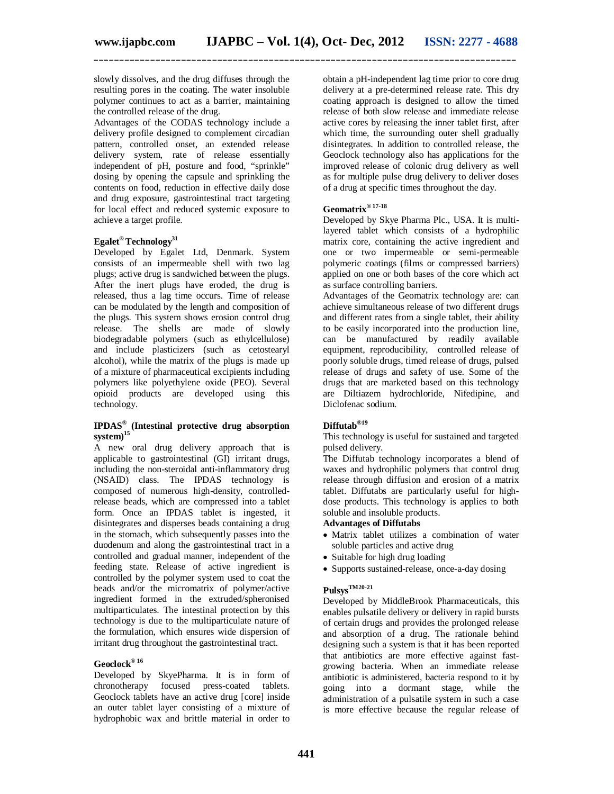slowly dissolves, and the drug diffuses through the resulting pores in the coating. The water insoluble polymer continues to act as a barrier, maintaining the controlled release of the drug.

Advantages of the CODAS technology include a delivery profile designed to complement circadian pattern, controlled onset, an extended release delivery system, rate of release essentially independent of pH, posture and food, "sprinkle" dosing by opening the capsule and sprinkling the contents on food, reduction in effective daily dose and drug exposure, gastrointestinal tract targeting for local effect and reduced systemic exposure to achieve a target profile.

#### **Egalet® Technology<sup>31</sup>**

Developed by Egalet Ltd, Denmark. System consists of an impermeable shell with two lag plugs; active drug is sandwiched between the plugs. After the inert plugs have eroded, the drug is released, thus a lag time occurs. Time of release can be modulated by the length and composition of the plugs. This system shows erosion control drug release. The shells are made of slowly biodegradable polymers (such as ethylcellulose) and include plasticizers (such as cetostearyl alcohol), while the matrix of the plugs is made up of a mixture of pharmaceutical excipients including polymers like polyethylene oxide (PEO). Several opioid products are developed using this technology.

#### **IPDAS® (Intestinal protective drug absorption system)<sup>15</sup>**

A new oral drug delivery approach that is applicable to gastrointestinal (GI) irritant drugs, including the non-steroidal anti-inflammatory drug (NSAID) class. The IPDAS technology is composed of numerous high-density, controlledrelease beads, which are compressed into a tablet form. Once an IPDAS tablet is ingested, it disintegrates and disperses beads containing a drug in the stomach, which subsequently passes into the duodenum and along the gastrointestinal tract in a controlled and gradual manner, independent of the feeding state. Release of active ingredient is controlled by the polymer system used to coat the beads and/or the micromatrix of polymer/active ingredient formed in the extruded/spheronised multiparticulates. The intestinal protection by this technology is due to the multiparticulate nature of the formulation, which ensures wide dispersion of irritant drug throughout the gastrointestinal tract.

### **Geoclock® <sup>16</sup>**

Developed by SkyePharma. It is in form of chronotherapy focused press-coated tablets. Geoclock tablets have an active drug [core] inside an outer tablet layer consisting of a mixture of hydrophobic wax and brittle material in order to

obtain a pH-independent lag time prior to core drug delivery at a pre-determined release rate. This dry coating approach is designed to allow the timed release of both slow release and immediate release active cores by releasing the inner tablet first, after which time, the surrounding outer shell gradually disintegrates. In addition to controlled release, the Geoclock technology also has applications for the improved release of colonic drug delivery as well as for multiple pulse drug delivery to deliver doses of a drug at specific times throughout the day.

## **Geomatrix® 17-18**

Developed by Skye Pharma Plc., USA. It is multilayered tablet which consists of a hydrophilic matrix core, containing the active ingredient and one or two impermeable or semi-permeable polymeric coatings (films or compressed barriers) applied on one or both bases of the core which act as surface controlling barriers.

Advantages of the Geomatrix technology are: can achieve simultaneous release of two different drugs and different rates from a single tablet, their ability to be easily incorporated into the production line, can be manufactured by readily available equipment, reproducibility, controlled release of poorly soluble drugs, timed release of drugs, pulsed release of drugs and safety of use. Some of the drugs that are marketed based on this technology are Diltiazem hydrochloride, Nifedipine, and Diclofenac sodium.

#### **Diffutab®19**

This technology is useful for sustained and targeted pulsed delivery.

The Diffutab technology incorporates a blend of waxes and hydrophilic polymers that control drug release through diffusion and erosion of a matrix tablet. Diffutabs are particularly useful for highdose products. This technology is applies to both soluble and insoluble products.

#### **Advantages of Diffutabs**

- Matrix tablet utilizes a combination of water soluble particles and active drug
- Suitable for high drug loading
- Supports sustained-release, once-a-day dosing

## **PulsysTM20-21**

Developed by MiddleBrook Pharmaceuticals, this enables pulsatile delivery or delivery in rapid bursts of certain drugs and provides the prolonged release and absorption of a drug. The rationale behind designing such a system is that it has been reported that antibiotics are more effective against fastgrowing bacteria. When an immediate release antibiotic is administered, bacteria respond to it by going into a dormant stage, while the administration of a pulsatile system in such a case is more effective because the regular release of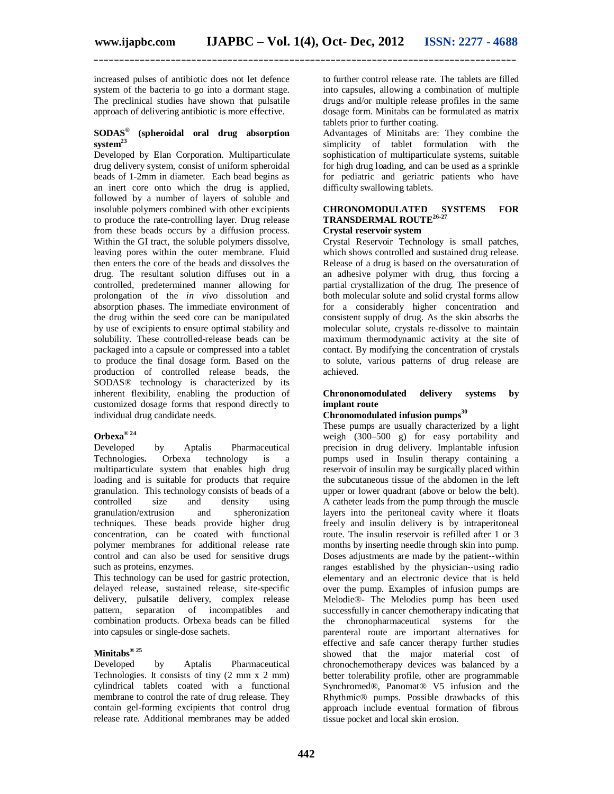**\_\_\_\_\_\_\_\_\_\_\_\_\_\_\_\_\_\_\_\_\_\_\_\_\_\_\_\_\_\_\_\_\_\_\_\_\_\_\_\_\_\_\_\_\_\_\_\_\_\_\_\_\_\_\_\_\_\_\_\_\_\_\_\_\_\_\_\_\_\_\_\_\_\_\_\_\_\_\_\_\_\_**

increased pulses of antibiotic does not let defence system of the bacteria to go into a dormant stage. The preclinical studies have shown that pulsatile approach of delivering antibiotic is more effective.

#### **SODAS® (spheroidal oral drug absorption system<sup>23</sup>**

Developed by Elan Corporation. Multiparticulate drug delivery system, consist of uniform spheroidal beads of 1-2mm in diameter. Each bead begins as an inert core onto which the drug is applied, followed by a number of layers of soluble and insoluble polymers combined with other excipients to produce the rate-controlling layer. Drug release from these beads occurs by a diffusion process. Within the GI tract, the soluble polymers dissolve, leaving pores within the outer membrane. Fluid then enters the core of the beads and dissolves the drug. The resultant solution diffuses out in a controlled, predetermined manner allowing for prolongation of the *in vivo* dissolution and absorption phases. The immediate environment of the drug within the seed core can be manipulated by use of excipients to ensure optimal stability and solubility. These controlled-release beads can be packaged into a capsule or compressed into a tablet to produce the final dosage form. Based on the production of controlled release beads, the SODAS® technology is characterized by its inherent flexibility, enabling the production of customized dosage forms that respond directly to individual drug candidate needs.

# **Orbexa® <sup>24</sup>**

Developed by Aptalis Pharmaceutical<br>Technologies. Orbexa technology is a Orbexa technology is a multiparticulate system that enables high drug loading and is suitable for products that require granulation. This technology consists of beads of a controlled size and density using granulation/extrusion and techniques. These beads provide higher drug concentration, can be coated with functional polymer membranes for additional release rate control and can also be used for sensitive drugs such as proteins, enzymes.

This technology can be used for gastric protection, delayed release, sustained release, site-specific delivery, pulsatile delivery, complex release<br>pattern, separation of incompatibles and separation of incompatibles combination products. Orbexa beads can be filled into capsules or single-dose sachets.

#### **Minitabs® <sup>25</sup>**

Developed by Aptalis Pharmaceutical Technologies. It consists of tiny (2 mm x 2 mm) cylindrical tablets coated with a functional membrane to control the rate of drug release. They contain gel-forming excipients that control drug release rate. Additional membranes may be added

to further control release rate. The tablets are filled into capsules, allowing a combination of multiple drugs and/or multiple release profiles in the same dosage form. Minitabs can be formulated as matrix tablets prior to further coating.

Advantages of Minitabs are: They combine the simplicity of tablet formulation with the sophistication of multiparticulate systems, suitable for high drug loading, and can be used as a sprinkle for pediatric and geriatric patients who have difficulty swallowing tablets.

#### **CHRONOMODULATED SYSTEMS FOR TRANSDERMAL ROUTE26-27 Crystal reservoir system**

Crystal Reservoir Technology is small patches, which shows controlled and sustained drug release. Release of a drug is based on the oversaturation of an adhesive polymer with drug, thus forcing a partial crystallization of the drug. The presence of both molecular solute and solid crystal forms allow for a considerably higher concentration and consistent supply of drug. As the skin absorbs the molecular solute, crystals re-dissolve to maintain maximum thermodynamic activity at the site of contact. By modifying the concentration of crystals to solute, various patterns of drug release are achieved.

#### **Chrononomodulated delivery systems by implant route**

#### **Chronomodulated infusion pumps 30**

These pumps are usually characterized by a light weigh (300–500 g) for easy portability and precision in drug delivery. Implantable infusion pumps used in Insulin therapy containing a reservoir of insulin may be surgically placed within the subcutaneous tissue of the abdomen in the left upper or lower quadrant (above or below the belt). A catheter leads from the pump through the muscle layers into the peritoneal cavity where it floats freely and insulin delivery is by intraperitoneal route. The insulin reservoir is refilled after 1 or 3 months by inserting needle through skin into pump. Doses adjustments are made by the patient‐‐within ranges established by the physician‐‐using radio elementary and an electronic device that is held over the pump. Examples of infusion pumps are Melodie®- The Melodies pump has been used successfully in cancer chemotherapy indicating that the chronopharmaceutical systems for the parenteral route are important alternatives for effective and safe cancer therapy further studies showed that the major material cost of chronochemotherapy devices was balanced by a better tolerability profile, other are programmable Synchromed®, Panomat® V5 infusion and the Rhythmic® pumps. Possible drawbacks of this approach include eventual formation of fibrous tissue pocket and local skin erosion.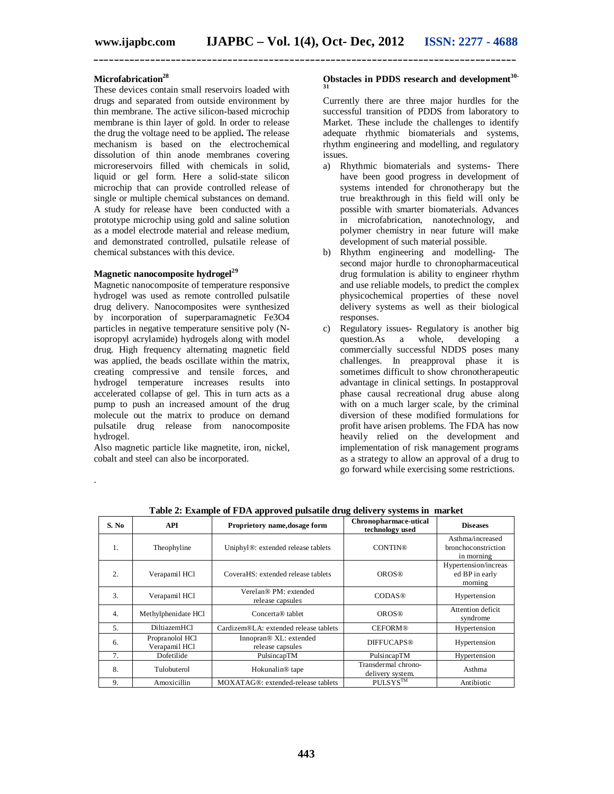**\_\_\_\_\_\_\_\_\_\_\_\_\_\_\_\_\_\_\_\_\_\_\_\_\_\_\_\_\_\_\_\_\_\_\_\_\_\_\_\_\_\_\_\_\_\_\_\_\_\_\_\_\_\_\_\_\_\_\_\_\_\_\_\_\_\_\_\_\_\_\_\_\_\_\_\_\_\_\_\_\_\_**

#### **Microfabrication<sup>28</sup>**

These devices contain small reservoirs loaded with drugs and separated from outside environment by thin membrane. The active silicon-based microchip membrane is thin layer of gold. In order to release the drug the voltage need to be applied**.** The release mechanism is based on the electrochemical dissolution of thin anode membranes covering microreservoirs filled with chemicals in solid, liquid or gel form. Here a solid-state silicon microchip that can provide controlled release of single or multiple chemical substances on demand. A study for release have been conducted with a prototype microchip using gold and saline solution as a model electrode material and release medium, and demonstrated controlled, pulsatile release of chemical substances with this device.

#### **Magnetic nanocomposite hydrogel<sup>29</sup>**

Magnetic nanocomposite of temperature responsive hydrogel was used as remote controlled pulsatile drug delivery. Nanocomposites were synthesized by incorporation of superparamagnetic Fe3O4 particles in negative temperature sensitive poly (Nisopropyl acrylamide) hydrogels along with model drug. High frequency alternating magnetic field was applied, the beads oscillate within the matrix, creating compressive and tensile forces, and hydrogel temperature increases results into accelerated collapse of gel. This in turn acts as a pump to push an increased amount of the drug molecule out the matrix to produce on demand pulsatile drug release from nanocomposite hydrogel.

Also magnetic particle like magnetite, iron, nickel, cobalt and steel can also be incorporated.

.

#### **Obstacles in PDDS research and development30- 31**

Currently there are three major hurdles for the successful transition of PDDS from laboratory to Market. These include the challenges to identify adequate rhythmic biomaterials and systems, rhythm engineering and modelling, and regulatory issues.

- a) Rhythmic biomaterials and systems- There have been good progress in development of systems intended for chronotherapy but the true breakthrough in this field will only be possible with smarter biomaterials. Advances in microfabrication, nanotechnology, and polymer chemistry in near future will make development of such material possible.
- b) Rhythm engineering and modelling- The second major hurdle to chronopharmaceutical drug formulation is ability to engineer rhythm and use reliable models, to predict the complex physicochemical properties of these novel delivery systems as well as their biological responses.
- c) Regulatory issues- Regulatory is another big question.As a whole, developing a commercially successful NDDS poses many challenges. In preapproval phase it is sometimes difficult to show chronotherapeutic advantage in clinical settings. In postapproval phase causal recreational drug abuse along with on a much larger scale, by the criminal diversion of these modified formulations for profit have arisen problems. The FDA has now heavily relied on the development and implementation of risk management programs as a strategy to allow an approval of a drug to go forward while exercising some restrictions.

| raone al manuphe of 1 D is approved pullative drug denvery bybeems in marrier |                                  |                                                        |                                          |                                                       |  |
|-------------------------------------------------------------------------------|----------------------------------|--------------------------------------------------------|------------------------------------------|-------------------------------------------------------|--|
| S. No                                                                         | <b>API</b>                       | Proprietory name, dosage form                          | Chronopharmace-utical<br>technology used | <b>Diseases</b>                                       |  |
| 1.                                                                            | Theophyline                      | Uniphyl <sup>®</sup> : extended release tablets        | <b>CONTIN®</b>                           | Asthma/increased<br>bronchoconstriction<br>in morning |  |
| 2.                                                                            | Verapamil HCl                    | CoveraHS: extended release tablets                     | <b>OROS®</b>                             | Hypertension/increas<br>ed BP in early<br>morning     |  |
| 3.                                                                            | Verapamil HCl                    | Verelan® PM: extended<br>release capsules              | <b>CODAS®</b>                            | Hypertension                                          |  |
| 4.                                                                            | Methylphenidate HCl              | Concerta® tablet                                       | <b>OROS®</b>                             | Attention deficit<br>syndrome                         |  |
| 5.                                                                            | DiltiazemHCl                     | Cardizem®LA: extended release tablets                  | <b>CEFORM®</b>                           | Hypertension                                          |  |
| 6.                                                                            | Propranolol HCl<br>Verapamil HCl | Innopran <sup>®</sup> XL: extended<br>release capsules | <b>DIFFUCAPS®</b>                        | Hypertension                                          |  |
| 7.                                                                            | Dofetilide                       | PulsincapTM                                            | PulsincapTM                              | Hypertension                                          |  |
| 8.                                                                            | Tulobuterol                      | Hokunalin <sup>®</sup> tape                            | Transdermal chrono-<br>delivery system.  | Asthma                                                |  |
| 9.                                                                            | Amoxicillin                      | MOXATAG®: extended-release tablets                     | PULSYS <sup>TM</sup>                     | Antibiotic                                            |  |

**Table 2: Example of FDA approved pulsatile drug delivery systems in market**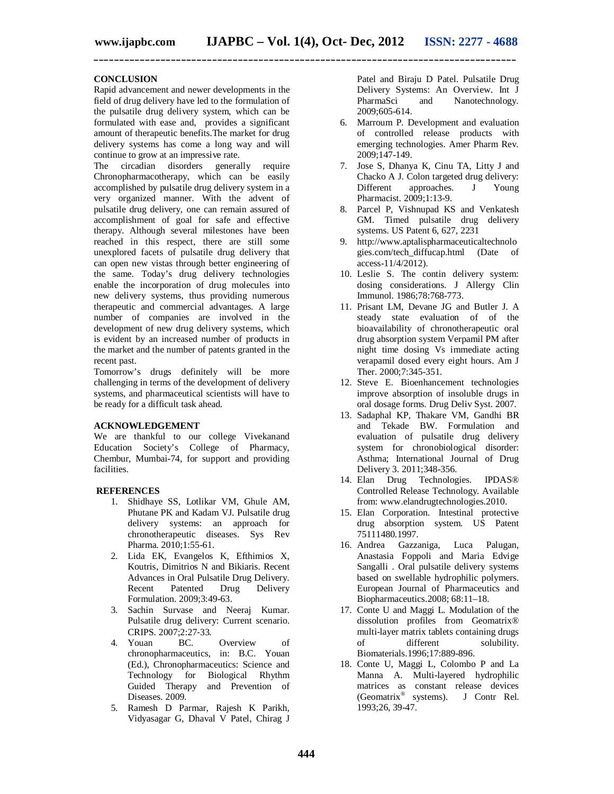**\_\_\_\_\_\_\_\_\_\_\_\_\_\_\_\_\_\_\_\_\_\_\_\_\_\_\_\_\_\_\_\_\_\_\_\_\_\_\_\_\_\_\_\_\_\_\_\_\_\_\_\_\_\_\_\_\_\_\_\_\_\_\_\_\_\_\_\_\_\_\_\_\_\_\_\_\_\_\_\_\_\_**

#### **CONCLUSION**

Rapid advancement and newer developments in the field of drug delivery have led to the formulation of the pulsatile drug delivery system, which can be formulated with ease and, provides a significant amount of therapeutic benefits.The market for drug delivery systems has come a long way and will continue to grow at an impressive rate.

The circadian disorders generally require Chronopharmacotherapy, which can be easily accomplished by pulsatile drug delivery system in a very organized manner. With the advent of pulsatile drug delivery, one can remain assured of accomplishment of goal for safe and effective therapy. Although several milestones have been reached in this respect, there are still some unexplored facets of pulsatile drug delivery that can open new vistas through better engineering of the same. Today's drug delivery technologies enable the incorporation of drug molecules into new delivery systems, thus providing numerous therapeutic and commercial advantages. A large number of companies are involved in the development of new drug delivery systems, which is evident by an increased number of products in the market and the number of patents granted in the recent past.

Tomorrow's drugs definitely will be more challenging in terms of the development of delivery systems, and pharmaceutical scientists will have to be ready for a difficult task ahead.

#### **ACKNOWLEDGEMENT**

We are thankful to our college Vivekanand Education Society's College of Pharmacy, Chembur, Mumbai-74, for support and providing facilities.

#### **REFERENCES**

- 1. Shidhaye SS, Lotlikar VM, Ghule AM, Phutane PK and Kadam VJ. Pulsatile drug delivery systems: an approach for chronotherapeutic diseases. Sys Rev Pharma. 2010;1:55-61.
- 2. Lida EK, Evangelos K, Efthimios X, Koutris, Dimitrios N and Bikiaris. Recent Advances in Oral Pulsatile Drug Delivery. Recent Patented Drug Delivery Formulation. 2009;3:49-63.
- 3. Sachin Survase and Neeraj Kumar. Pulsatile drug delivery: Current scenario. CRIPS. 2007;2:27‐33.
- 4. Youan BC. Overview of chronopharmaceutics, in: B.C. Youan (Ed.), Chronopharmaceutics: Science and Technology for Biological Rhythm Guided Therapy and Prevention of Diseases. 2009.
- 5. Ramesh D Parmar, Rajesh K Parikh, Vidyasagar G, Dhaval V Patel, Chirag J

Patel and Biraju D Patel. Pulsatile Drug Delivery Systems: An Overview. Int J PharmaSci and Nanotechnology. 2009;605-614.

- 6. Marroum P. Development and evaluation of controlled release products with emerging technologies. Amer Pharm Rev. 2009;147-149.
- 7. Jose S, Dhanya K, Cinu TA, Litty J and Chacko A J. Colon targeted drug delivery:<br>Different approaches. J Young approaches. J Pharmacist. 2009;1:13-9.
- 8. Parcel P, Vishnupad KS and Venkatesh GM. Timed pulsatile drug delivery systems. US Patent 6, 627, 2231
- 9. http://www.aptalispharmaceuticaltechnolo gies.com/tech\_diffucap.html (Date of access-11/4/2012).
- 10. Leslie S. The contin delivery system: dosing considerations. J Allergy Clin Immunol. 1986;78:768-773.
- 11. Prisant LM, Devane JG and Butler J. A steady state evaluation of of the bioavailability of chronotherapeutic oral drug absorption system Verpamil PM after night time dosing Vs immediate acting verapamil dosed every eight hours. Am J Ther. 2000;7:345-351.
- 12. Steve E. Bioenhancement technologies improve absorption of insoluble drugs in oral dosage forms. Drug Deliv Syst. 2007.
- 13. Sadaphal KP, Thakare VM, Gandhi BR and Tekade BW. Formulation and evaluation of pulsatile drug delivery system for chronobiological disorder: Asthma; International Journal of Drug Delivery 3. 2011;348-356.
- 14. Elan Drug Technologies. IPDAS® Controlled Release Technology. Available from: www.elandrugtechnologies.2010.
- 15. Elan Corporation. Intestinal protective drug absorption system. US Patent 75111480.1997.
- 16. Andrea Gazzaniga, Luca Palugan, Anastasia Foppoli and Maria Edvige Sangalli . Oral pulsatile delivery systems based on swellable hydrophilic polymers. European Journal of Pharmaceutics and Biopharmaceutics.2008; 68:11–18.
- 17. Conte U and Maggi L. Modulation of the dissolution profiles from Geomatrix® multi-layer matrix tablets containing drugs<br>of different solubility. different solubility. Biomaterials.1996;17:889-896.
- 18. Conte U, Maggi L, Colombo P and La Manna A. Multi-layered hydrophilic matrices as constant release devices (Geomatrix® systems). J Contr Rel. 1993;26, 39-47.